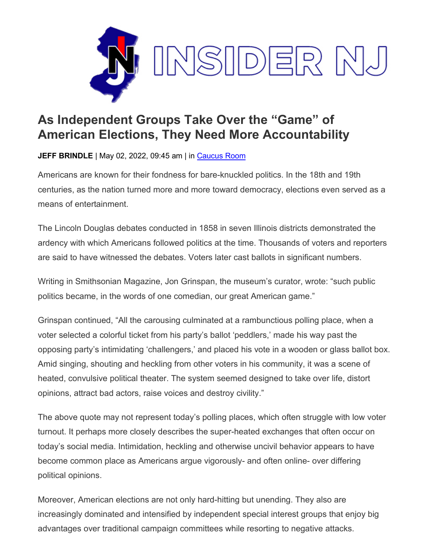

## **As Independent Groups Take Over the "Game" of American Elections, They Need More Accountability**

**JEFF BRINDLE** | May 02, 2022, 09:45 am | in [Caucus Room](https://www.insidernj.com/category/caucus-room/)

Americans are known for their fondness for bare-knuckled politics. In the 18th and 19th centuries, as the nation turned more and more toward democracy, elections even served as a means of entertainment.

The Lincoln Douglas debates conducted in 1858 in seven Illinois districts demonstrated the ardency with which Americans followed politics at the time. Thousands of voters and reporters are said to have witnessed the debates. Voters later cast ballots in significant numbers.

Writing in Smithsonian Magazine, Jon Grinspan, the museum's curator, wrote: "such public politics became, in the words of one comedian, our great American game."

Grinspan continued, "All the carousing culminated at a rambunctious polling place, when a voter selected a colorful ticket from his party's ballot 'peddlers,' made his way past the opposing party's intimidating 'challengers,' and placed his vote in a wooden or glass ballot box. Amid singing, shouting and heckling from other voters in his community, it was a scene of heated, convulsive political theater. The system seemed designed to take over life, distort opinions, attract bad actors, raise voices and destroy civility."

The above quote may not represent today's polling places, which often struggle with low voter turnout. It perhaps more closely describes the super-heated exchanges that often occur on today's social media. Intimidation, heckling and otherwise uncivil behavior appears to have become common place as Americans argue vigorously- and often online- over differing political opinions.

Moreover, American elections are not only hard-hitting but unending. They also are increasingly dominated and intensified by independent special interest groups that enjoy big advantages over traditional campaign committees while resorting to negative attacks.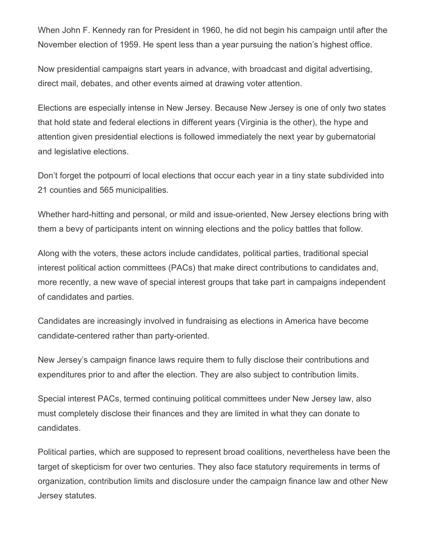When John F. Kennedy ran for President in 1960, he did not begin his campaign until after the November election of 1959. He spent less than a year pursuing the nation's highest office.

Now presidential campaigns start years in advance, with broadcast and digital advertising, direct mail, debates, and other events aimed at drawing voter attention.

Elections are especially intense in New Jersey. Because New Jersey is one of only two states that hold state and federal elections in different years (Virginia is the other), the hype and attention given presidential elections is followed immediately the next year by gubernatorial and legislative elections.

Don't forget the potpourri of local elections that occur each year in a tiny state subdivided into 21 counties and 565 municipalities.

Whether hard-hitting and personal, or mild and issue-oriented, New Jersey elections bring with them a bevy of participants intent on winning elections and the policy battles that follow.

Along with the voters, these actors include candidates, political parties, traditional special interest political action committees (PACs) that make direct contributions to candidates and, more recently, a new wave of special interest groups that take part in campaigns independent of candidates and parties.

Candidates are increasingly involved in fundraising as elections in America have become candidate-centered rather than party-oriented.

New Jersey's campaign finance laws require them to fully disclose their contributions and expenditures prior to and after the election. They are also subject to contribution limits.

Special interest PACs, termed continuing political committees under New Jersey law, also must completely disclose their finances and they are limited in what they can donate to candidates.

Political parties, which are supposed to represent broad coalitions, nevertheless have been the target of skepticism for over two centuries. They also face statutory requirements in terms of organization, contribution limits and disclosure under the campaign finance law and other New Jersey statutes.